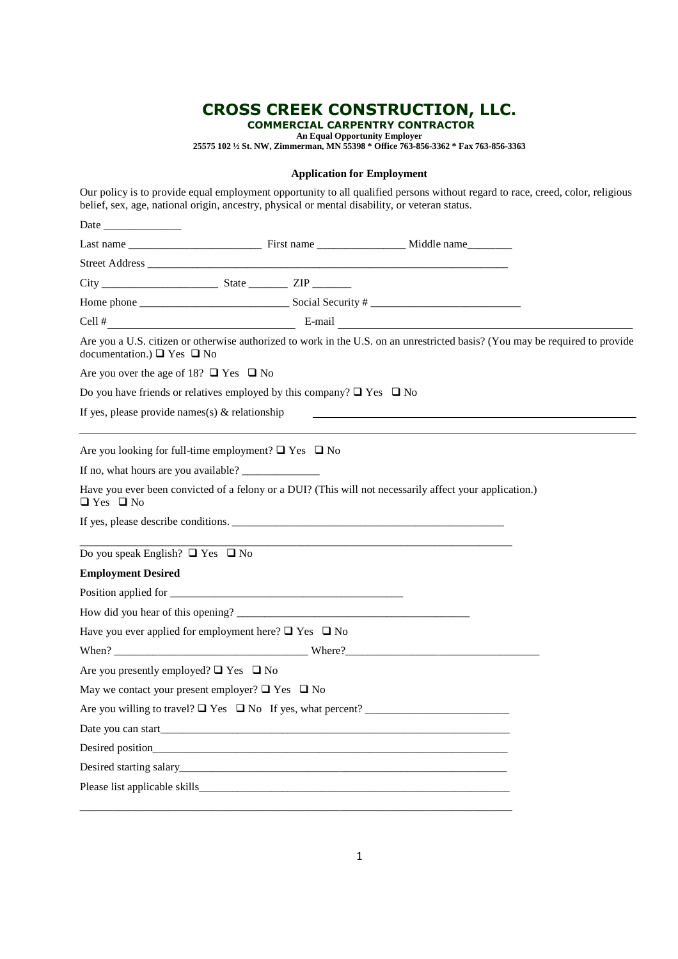# **CROSS CREEK CONSTRUCTION, LLC.**

 **COMMERCIAL CARPENTRY CONTRACTOR** 

**An Equal Opportunity Employer 25575 102 ½ St. NW, Zimmerman, MN 55398 \* Office 763-856-3362 \* Fax 763-856-3363**

### **Application for Employment**

| belief, sex, age, national origin, ancestry, physical or mental disability, or veteran status.                                                                                                                                     |  |
|------------------------------------------------------------------------------------------------------------------------------------------------------------------------------------------------------------------------------------|--|
| Date and the same state of the state of the state of the state of the state of the state of the state of the state of the state of the state of the state of the state of the state of the state of the state of the state of      |  |
|                                                                                                                                                                                                                                    |  |
|                                                                                                                                                                                                                                    |  |
|                                                                                                                                                                                                                                    |  |
|                                                                                                                                                                                                                                    |  |
| Cell $\#$ E-mail E-mail E-mail E-mail E-mail E-mail E-mail E-mail E-mail E-mail E-mail E-mail E-mail E-mail E-mail E-mail E-mail E-mail E-mail E-mail E-mail E-mail E-mail E-mail E-mail E-mail E-mail E-mail E-mail E-mail E      |  |
| Are you a U.S. citizen or otherwise authorized to work in the U.S. on an unrestricted basis? (You may be required to provide<br>documentation.) $\Box$ Yes $\Box$ No                                                               |  |
| Are you over the age of 18? $\Box$ Yes $\Box$ No                                                                                                                                                                                   |  |
| Do you have friends or relatives employed by this company? $\Box$ Yes $\Box$ No                                                                                                                                                    |  |
| If yes, please provide names(s) $&$ relationship                                                                                                                                                                                   |  |
| Are you looking for full-time employment? $\Box$ Yes $\Box$ No                                                                                                                                                                     |  |
|                                                                                                                                                                                                                                    |  |
| Have you ever been convicted of a felony or a DUI? (This will not necessarily affect your application.)<br>$\Box$ Yes $\Box$ No                                                                                                    |  |
| If yes, please describe conditions.                                                                                                                                                                                                |  |
| Do you speak English? $\Box$ Yes $\Box$ No                                                                                                                                                                                         |  |
| <b>Employment Desired</b>                                                                                                                                                                                                          |  |
|                                                                                                                                                                                                                                    |  |
|                                                                                                                                                                                                                                    |  |
| Have you ever applied for employment here? $\Box$ Yes $\Box$ No                                                                                                                                                                    |  |
|                                                                                                                                                                                                                                    |  |
| Are you presently employed? $\Box$ Yes $\Box$ No                                                                                                                                                                                   |  |
| May we contact your present employer? $\Box$ Yes $\Box$ No                                                                                                                                                                         |  |
|                                                                                                                                                                                                                                    |  |
| Date you can start                                                                                                                                                                                                                 |  |
| Desired position <b>Desired Container and Container and Container and Container and Container and Container and Container and Container and Container and Container and Container and Container and Container and Container an</b> |  |
|                                                                                                                                                                                                                                    |  |
|                                                                                                                                                                                                                                    |  |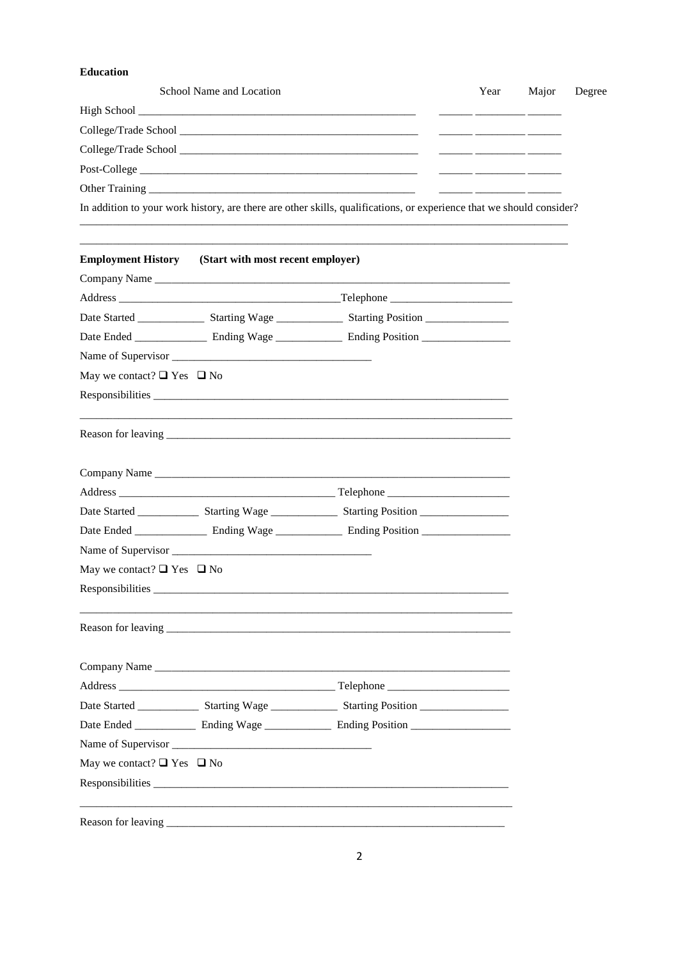## Education

| Year | Major | Degree                                                                                                               |
|------|-------|----------------------------------------------------------------------------------------------------------------------|
|      |       |                                                                                                                      |
|      |       |                                                                                                                      |
|      |       |                                                                                                                      |
|      |       |                                                                                                                      |
|      |       |                                                                                                                      |
|      |       |                                                                                                                      |
|      |       | In addition to your work history, are there are other skills, qualifications, or experience that we should consider? |

| <b>Employment History</b> (Start with most recent employer) |                                                                                                      |
|-------------------------------------------------------------|------------------------------------------------------------------------------------------------------|
|                                                             |                                                                                                      |
|                                                             |                                                                                                      |
|                                                             |                                                                                                      |
|                                                             |                                                                                                      |
|                                                             |                                                                                                      |
| May we contact? $\Box$ Yes $\Box$ No                        |                                                                                                      |
|                                                             |                                                                                                      |
|                                                             |                                                                                                      |
|                                                             |                                                                                                      |
|                                                             |                                                                                                      |
|                                                             | Date Started _________________ Starting Wage ________________ Starting Position ____________________ |
|                                                             |                                                                                                      |
|                                                             |                                                                                                      |
| May we contact? $\Box$ Yes $\Box$ No                        |                                                                                                      |
|                                                             |                                                                                                      |
|                                                             |                                                                                                      |
|                                                             |                                                                                                      |
|                                                             |                                                                                                      |
|                                                             | Date Started _________________ Starting Wage ________________ Starting Position ____________________ |
|                                                             |                                                                                                      |
|                                                             |                                                                                                      |
| May we contact? $\Box$ Yes $\Box$ No                        |                                                                                                      |
|                                                             |                                                                                                      |
|                                                             |                                                                                                      |